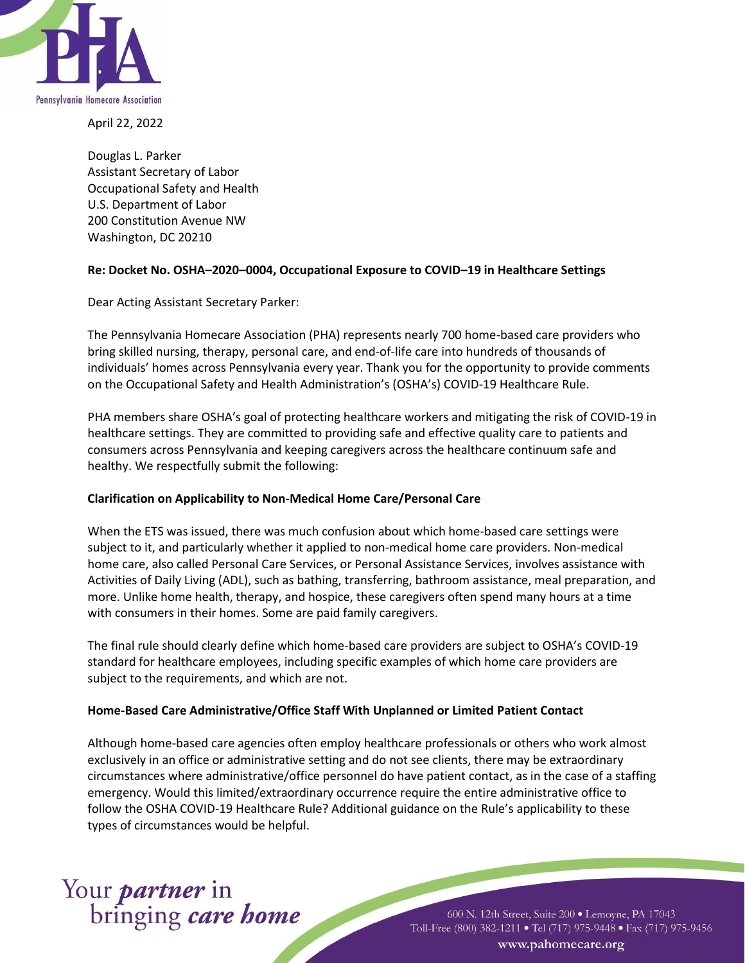

April 22, 2022

Douglas L. Parker Assistant Secretary of Labor Occupational Safety and Health U.S. Department of Labor 200 Constitution Avenue NW Washington, DC 20210

# **Re: Docket No. OSHA–2020–0004, Occupational Exposure to COVID–19 in Healthcare Settings**

Dear Acting Assistant Secretary Parker:

The Pennsylvania Homecare Association (PHA) represents nearly 700 home-based care providers who bring skilled nursing, therapy, personal care, and end-of-life care into hundreds of thousands of individuals' homes across Pennsylvania every year. Thank you for the opportunity to provide comments on the Occupational Safety and Health Administration's (OSHA's) COVID-19 Healthcare Rule.

PHA members share OSHA's goal of protecting healthcare workers and mitigating the risk of COVID-19 in healthcare settings. They are committed to providing safe and effective quality care to patients and consumers across Pennsylvania and keeping caregivers across the healthcare continuum safe and healthy. We respectfully submit the following:

## **Clarification on Applicability to Non-Medical Home Care/Personal Care**

When the ETS was issued, there was much confusion about which home-based care settings were subject to it, and particularly whether it applied to non-medical home care providers. Non-medical home care, also called Personal Care Services, or Personal Assistance Services, involves assistance with Activities of Daily Living (ADL), such as bathing, transferring, bathroom assistance, meal preparation, and more. Unlike home health, therapy, and hospice, these caregivers often spend many hours at a time with consumers in their homes. Some are paid family caregivers.

The final rule should clearly define which home-based care providers are subject to OSHA's COVID-19 standard for healthcare employees, including specific examples of which home care providers are subject to the requirements, and which are not.

## **Home-Based Care Administrative/Office Staff With Unplanned or Limited Patient Contact**

Although home-based care agencies often employ healthcare professionals or others who work almost exclusively in an office or administrative setting and do not see clients, there may be extraordinary circumstances where administrative/office personnel do have patient contact, as in the case of a staffing emergency. Would this limited/extraordinary occurrence require the entire administrative office to follow the OSHA COVID-19 Healthcare Rule? Additional guidance on the Rule's applicability to these types of circumstances would be helpful.

# Your *partner* in<br>bringing *care home*

600 N. 12th Street, Suite 200 · Lemoyne, PA 17043 Toll-Free (800) 382-1211 • Tel (717) 975-9448 • Fax (717) 975-9456 www.pahomecare.org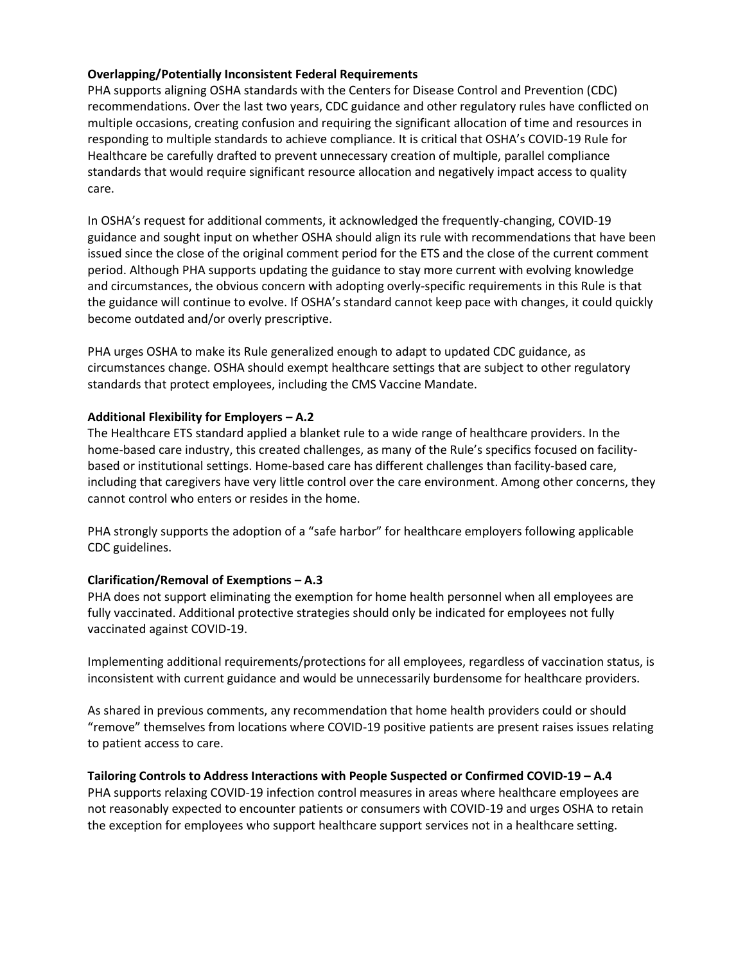# **Overlapping/Potentially Inconsistent Federal Requirements**

PHA supports aligning OSHA standards with the Centers for Disease Control and Prevention (CDC) recommendations. Over the last two years, CDC guidance and other regulatory rules have conflicted on multiple occasions, creating confusion and requiring the significant allocation of time and resources in responding to multiple standards to achieve compliance. It is critical that OSHA's COVID-19 Rule for Healthcare be carefully drafted to prevent unnecessary creation of multiple, parallel compliance standards that would require significant resource allocation and negatively impact access to quality care.

In OSHA's request for additional comments, it acknowledged the frequently-changing, COVID-19 guidance and sought input on whether OSHA should align its rule with recommendations that have been issued since the close of the original comment period for the ETS and the close of the current comment period. Although PHA supports updating the guidance to stay more current with evolving knowledge and circumstances, the obvious concern with adopting overly-specific requirements in this Rule is that the guidance will continue to evolve. If OSHA's standard cannot keep pace with changes, it could quickly become outdated and/or overly prescriptive.

PHA urges OSHA to make its Rule generalized enough to adapt to updated CDC guidance, as circumstances change. OSHA should exempt healthcare settings that are subject to other regulatory standards that protect employees, including the CMS Vaccine Mandate.

## **Additional Flexibility for Employers – A.2**

The Healthcare ETS standard applied a blanket rule to a wide range of healthcare providers. In the home-based care industry, this created challenges, as many of the Rule's specifics focused on facilitybased or institutional settings. Home-based care has different challenges than facility-based care, including that caregivers have very little control over the care environment. Among other concerns, they cannot control who enters or resides in the home.

PHA strongly supports the adoption of a "safe harbor" for healthcare employers following applicable CDC guidelines.

## **Clarification/Removal of Exemptions – A.3**

PHA does not support eliminating the exemption for home health personnel when all employees are fully vaccinated. Additional protective strategies should only be indicated for employees not fully vaccinated against COVID-19.

Implementing additional requirements/protections for all employees, regardless of vaccination status, is inconsistent with current guidance and would be unnecessarily burdensome for healthcare providers.

As shared in previous comments, any recommendation that home health providers could or should "remove" themselves from locations where COVID-19 positive patients are present raises issues relating to patient access to care.

# **Tailoring Controls to Address Interactions with People Suspected or Confirmed COVID-19 – A.4**

PHA supports relaxing COVID-19 infection control measures in areas where healthcare employees are not reasonably expected to encounter patients or consumers with COVID-19 and urges OSHA to retain the exception for employees who support healthcare support services not in a healthcare setting.